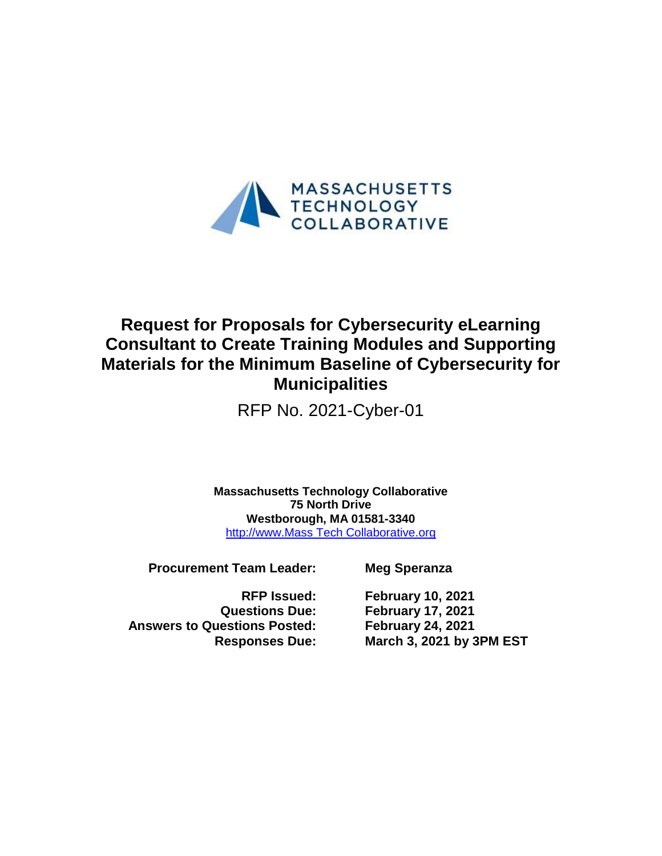

# **Request for Proposals for Cybersecurity eLearning Consultant to Create Training Modules and Supporting Materials for the Minimum Baseline of Cybersecurity for Municipalities**

RFP No. 2021-Cyber-01

**Massachusetts Technology Collaborative 75 North Drive Westborough, MA 01581-3340** [http://www.Mass Tech Collaborative.org](http://www.masstech.org/)

**Procurement Team Leader: Meg Speranza**

**Answers to Questions Posted: February 24, 2021**

**RFP Issued: February 10, 2021 Questions Due: February 17, 2021 Responses Due: March 3, 2021 by 3PM EST**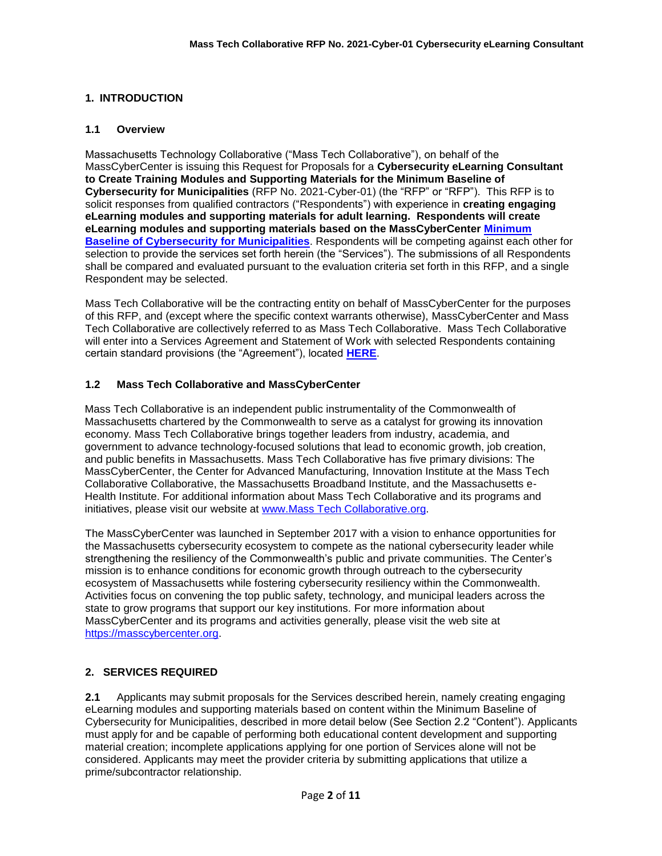# **1. INTRODUCTION**

#### **1.1 Overview**

Massachusetts Technology Collaborative ("Mass Tech Collaborative"), on behalf of the MassCyberCenter is issuing this Request for Proposals for a **Cybersecurity eLearning Consultant to Create Training Modules and Supporting Materials for the Minimum Baseline of Cybersecurity for Municipalities** (RFP No. 2021-Cyber-01) (the "RFP" or "RFP"). This RFP is to solicit responses from qualified contractors ("Respondents") with experience in **creating engaging eLearning modules and supporting materials for adult learning. Respondents will create eLearning modules and supporting materials based on the MassCyberCenter [Minimum](https://masscybercenter.org/why-cybersecurity/municipal-cybersecurity/municipal-cybersecurity-toolkit/minimum-baseline)  [Baseline of Cybersecurity for Municipalities](https://masscybercenter.org/why-cybersecurity/municipal-cybersecurity/municipal-cybersecurity-toolkit/minimum-baseline)**. Respondents will be competing against each other for selection to provide the services set forth herein (the "Services"). The submissions of all Respondents shall be compared and evaluated pursuant to the evaluation criteria set forth in this RFP, and a single Respondent may be selected.

Mass Tech Collaborative will be the contracting entity on behalf of MassCyberCenter for the purposes of this RFP, and (except where the specific context warrants otherwise), MassCyberCenter and Mass Tech Collaborative are collectively referred to as Mass Tech Collaborative. Mass Tech Collaborative will enter into a Services Agreement and Statement of Work with selected Respondents containing certain standard provisions (the "Agreement"), located **[HERE](https://masstech.org/sites/mtc/files/documents/Legal/Services%20Agreement%20and%20SOW%20Final%20with%20watermark.pdf)**.

## **1.2 Mass Tech Collaborative and MassCyberCenter**

Mass Tech Collaborative is an independent public instrumentality of the Commonwealth of Massachusetts chartered by the Commonwealth to serve as a catalyst for growing its innovation economy. Mass Tech Collaborative brings together leaders from industry, academia, and government to advance technology-focused solutions that lead to economic growth, job creation, and public benefits in Massachusetts. Mass Tech Collaborative has five primary divisions: The MassCyberCenter, the Center for Advanced Manufacturing, Innovation Institute at the Mass Tech Collaborative Collaborative, the Massachusetts Broadband Institute, and the Massachusetts e-Health Institute. For additional information about Mass Tech Collaborative and its programs and initiatives, please visit our website at [www.Mass Tech Collaborative.org.](http://www.masstech.org/)

The MassCyberCenter was launched in September 2017 with a vision to enhance opportunities for the Massachusetts cybersecurity ecosystem to compete as the national cybersecurity leader while strengthening the resiliency of the Commonwealth's public and private communities. The Center's mission is to enhance conditions for economic growth through outreach to the cybersecurity ecosystem of Massachusetts while fostering cybersecurity resiliency within the Commonwealth. Activities focus on convening the top public safety, technology, and municipal leaders across the state to grow programs that support our key institutions. For more information about MassCyberCenter and its programs and activities generally, please visit the web site at https://masscybercenter.org.

## **2. SERVICES REQUIRED**

**2.1** Applicants may submit proposals for the Services described herein, namely creating engaging eLearning modules and supporting materials based on content within the Minimum Baseline of Cybersecurity for Municipalities, described in more detail below (See Section 2.2 "Content"). Applicants must apply for and be capable of performing both educational content development and supporting material creation; incomplete applications applying for one portion of Services alone will not be considered. Applicants may meet the provider criteria by submitting applications that utilize a prime/subcontractor relationship.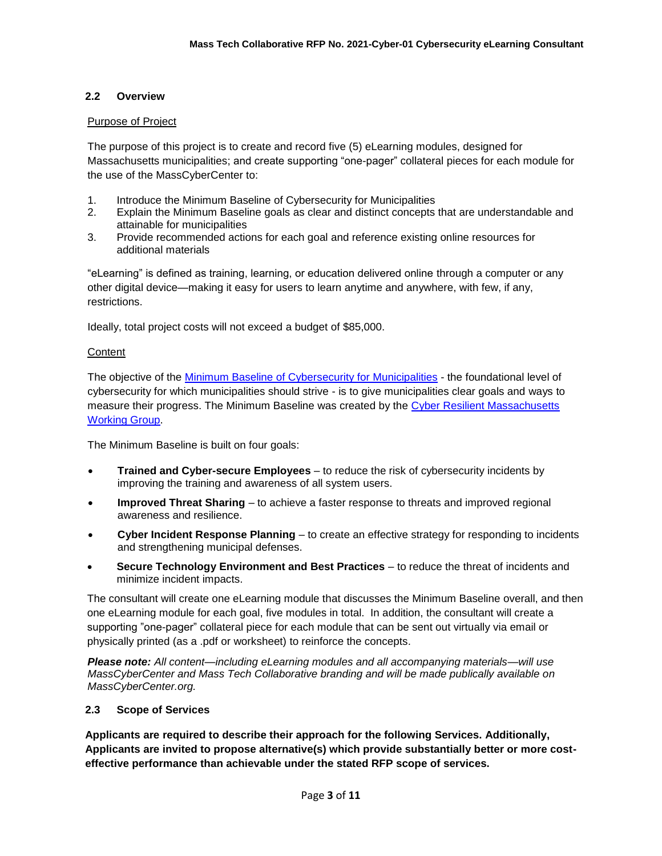## **2.2 Overview**

#### Purpose of Project

The purpose of this project is to create and record five (5) eLearning modules, designed for Massachusetts municipalities; and create supporting "one-pager" collateral pieces for each module for the use of the MassCyberCenter to:

- 1. Introduce the Minimum Baseline of Cybersecurity for Municipalities
- 2. Explain the Minimum Baseline goals as clear and distinct concepts that are understandable and attainable for municipalities
- 3. Provide recommended actions for each goal and reference existing online resources for additional materials

"eLearning" is defined as training, learning, or education delivered online through a computer or any other digital device—making it easy for users to learn anytime and anywhere, with few, if any, restrictions.

Ideally, total project costs will not exceed a budget of \$85,000.

#### **Content**

The objective of the Minimum Baseline of Cybersecurity for Municipalities - the foundational level of cybersecurity for which municipalities should strive - is to give municipalities clear goals and ways to measure their progress. The Minimum Baseline was created by the [Cyber Resilient Massachusetts](https://masscybercenter.org/cyber-resilient-massachusetts/cyber-resilient-massachusetts-working-group)  [Working Group.](https://masscybercenter.org/cyber-resilient-massachusetts/cyber-resilient-massachusetts-working-group)

The Minimum Baseline is built on four goals:

- **Trained and Cyber-secure Employees** to reduce the risk of cybersecurity incidents by improving the training and awareness of all system users.
- **Improved Threat Sharing** to achieve a faster response to threats and improved regional awareness and resilience.
- **Cyber Incident Response Planning** to create an effective strategy for responding to incidents and strengthening municipal defenses.
- **Secure Technology Environment and Best Practices** to reduce the threat of incidents and minimize incident impacts.

The consultant will create one eLearning module that discusses the Minimum Baseline overall, and then one eLearning module for each goal, five modules in total. In addition, the consultant will create a supporting "one-pager" collateral piece for each module that can be sent out virtually via email or physically printed (as a .pdf or worksheet) to reinforce the concepts.

*Please note: All content—including eLearning modules and all accompanying materials—will use MassCyberCenter and Mass Tech Collaborative branding and will be made publically available on MassCyberCenter.org.* 

#### **2.3 Scope of Services**

**Applicants are required to describe their approach for the following Services. Additionally, Applicants are invited to propose alternative(s) which provide substantially better or more costeffective performance than achievable under the stated RFP scope of services.**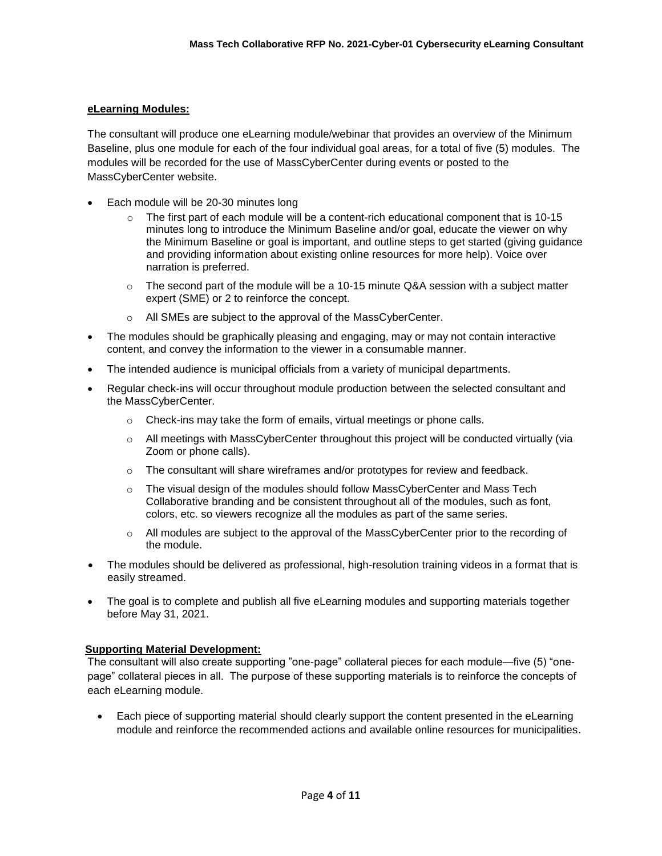## **eLearning Modules:**

The consultant will produce one eLearning module/webinar that provides an overview of the Minimum Baseline, plus one module for each of the four individual goal areas, for a total of five (5) modules. The modules will be recorded for the use of MassCyberCenter during events or posted to the MassCyberCenter website.

- Each module will be 20-30 minutes long
	- $\circ$  The first part of each module will be a content-rich educational component that is 10-15 minutes long to introduce the Minimum Baseline and/or goal, educate the viewer on why the Minimum Baseline or goal is important, and outline steps to get started (giving guidance and providing information about existing online resources for more help). Voice over narration is preferred.
	- $\circ$  The second part of the module will be a 10-15 minute Q&A session with a subject matter expert (SME) or 2 to reinforce the concept.
	- All SMEs are subject to the approval of the MassCyberCenter.
- The modules should be graphically pleasing and engaging, may or may not contain interactive content, and convey the information to the viewer in a consumable manner.
- The intended audience is municipal officials from a variety of municipal departments.
- Regular check-ins will occur throughout module production between the selected consultant and the MassCyberCenter.
	- o Check-ins may take the form of emails, virtual meetings or phone calls.
	- $\circ$  All meetings with MassCyberCenter throughout this project will be conducted virtually (via Zoom or phone calls).
	- $\circ$  The consultant will share wireframes and/or prototypes for review and feedback.
	- $\circ$  The visual design of the modules should follow MassCyberCenter and Mass Tech Collaborative branding and be consistent throughout all of the modules, such as font, colors, etc. so viewers recognize all the modules as part of the same series.
	- $\circ$  All modules are subject to the approval of the MassCyberCenter prior to the recording of the module.
- The modules should be delivered as professional, high-resolution training videos in a format that is easily streamed.
- The goal is to complete and publish all five eLearning modules and supporting materials together before May 31, 2021.

## **Supporting Material Development:**

The consultant will also create supporting "one-page" collateral pieces for each module—five (5) "onepage" collateral pieces in all. The purpose of these supporting materials is to reinforce the concepts of each eLearning module.

 Each piece of supporting material should clearly support the content presented in the eLearning module and reinforce the recommended actions and available online resources for municipalities.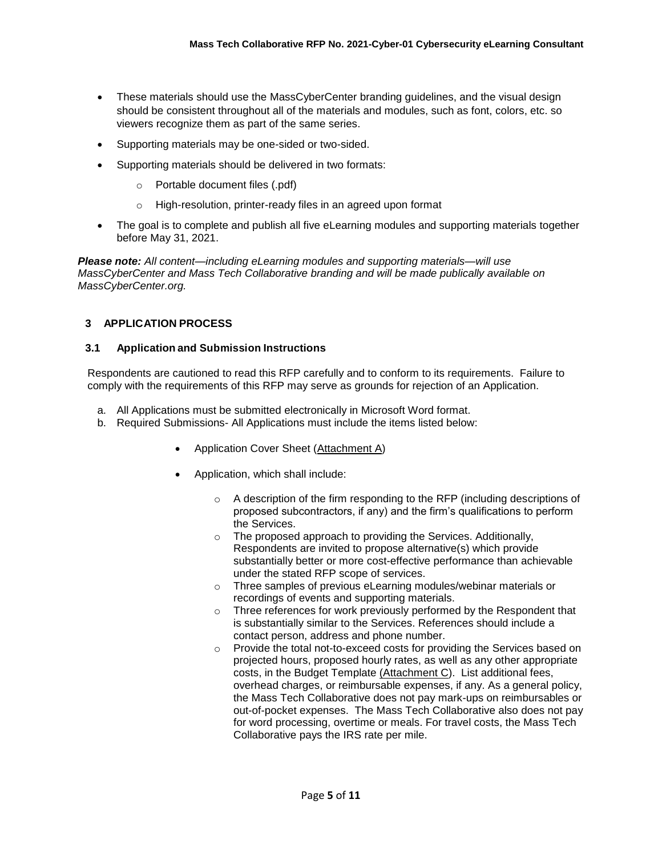- These materials should use the MassCyberCenter branding guidelines, and the visual design should be consistent throughout all of the materials and modules, such as font, colors, etc. so viewers recognize them as part of the same series.
- Supporting materials may be one-sided or two-sided.
- Supporting materials should be delivered in two formats:
	- o Portable document files (.pdf)
	- o High-resolution, printer-ready files in an agreed upon format
- The goal is to complete and publish all five eLearning modules and supporting materials together before May 31, 2021.

*Please note: All content—including eLearning modules and supporting materials—will use MassCyberCenter and Mass Tech Collaborative branding and will be made publically available on MassCyberCenter.org.*

## **3 APPLICATION PROCESS**

#### **3.1 Application and Submission Instructions**

Respondents are cautioned to read this RFP carefully and to conform to its requirements. Failure to comply with the requirements of this RFP may serve as grounds for rejection of an Application.

- a. All Applications must be submitted electronically in Microsoft Word format.
- b. Required Submissions- All Applications must include the items listed below:
	- Application Cover Sheet (Attachment A)
	- Application, which shall include:
		- o A description of the firm responding to the RFP (including descriptions of proposed subcontractors, if any) and the firm's qualifications to perform the Services.
		- o The proposed approach to providing the Services. Additionally, Respondents are invited to propose alternative(s) which provide substantially better or more cost-effective performance than achievable under the stated RFP scope of services.
		- o Three samples of previous eLearning modules/webinar materials or recordings of events and supporting materials.
		- o Three references for work previously performed by the Respondent that is substantially similar to the Services. References should include a contact person, address and phone number.
		- o Provide the total not-to-exceed costs for providing the Services based on projected hours, proposed hourly rates, as well as any other appropriate costs, in the Budget Template (Attachment C). List additional fees, overhead charges, or reimbursable expenses, if any. As a general policy, the Mass Tech Collaborative does not pay mark-ups on reimbursables or out-of-pocket expenses. The Mass Tech Collaborative also does not pay for word processing, overtime or meals. For travel costs, the Mass Tech Collaborative pays the IRS rate per mile.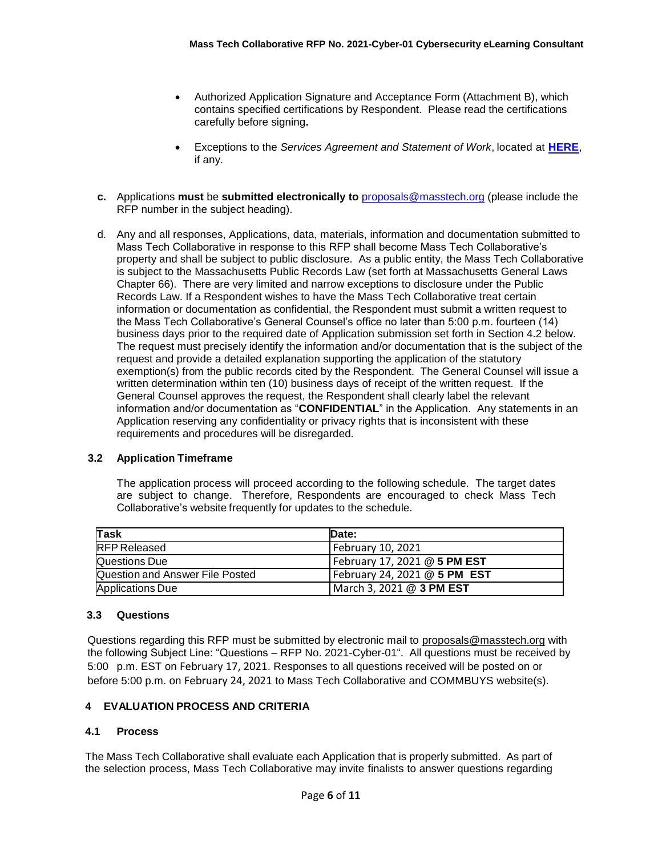- Authorized Application Signature and Acceptance Form (Attachment B), which contains specified certifications by Respondent. Please read the certifications carefully before signing**.**
- Exceptions to the *Services Agreement and Statement of Work*, located at **[HERE](https://masstech.org/sites/mtc/files/documents/Legal/Services%20Agreement%20and%20SOW%20Final%20with%20watermark.pdf)**, if any.
- **c.** Applications **must** be **submitted electronically to** [proposals@masstech.org](mailto:proposals@masstech.org) (please include the RFP number in the subject heading).
- d. Any and all responses, Applications, data, materials, information and documentation submitted to Mass Tech Collaborative in response to this RFP shall become Mass Tech Collaborative's property and shall be subject to public disclosure. As a public entity, the Mass Tech Collaborative is subject to the Massachusetts Public Records Law (set forth at Massachusetts General Laws Chapter 66). There are very limited and narrow exceptions to disclosure under the Public Records Law. If a Respondent wishes to have the Mass Tech Collaborative treat certain information or documentation as confidential, the Respondent must submit a written request to the Mass Tech Collaborative's General Counsel's office no later than 5:00 p.m. fourteen (14) business days prior to the required date of Application submission set forth in Section 4.2 below. The request must precisely identify the information and/or documentation that is the subject of the request and provide a detailed explanation supporting the application of the statutory exemption(s) from the public records cited by the Respondent. The General Counsel will issue a written determination within ten (10) business days of receipt of the written request. If the General Counsel approves the request, the Respondent shall clearly label the relevant information and/or documentation as "**CONFIDENTIAL**" in the Application. Any statements in an Application reserving any confidentiality or privacy rights that is inconsistent with these requirements and procedures will be disregarded.

## **3.2 Application Timeframe**

The application process will proceed according to the following schedule. The target dates are subject to change. Therefore, Respondents are encouraged to check Mass Tech Collaborative's website frequently for updates to the schedule.

| Task                            | <b>IDate:</b>                |
|---------------------------------|------------------------------|
| <b>RFP Released</b>             | February 10, 2021            |
| Questions Due                   | February 17, 2021 @ 5 PM EST |
| Question and Answer File Posted | February 24, 2021 @ 5 PM EST |
| <b>Applications Due</b>         | March 3, 2021 @ 3 PM EST     |

#### **3.3 Questions**

Questions regarding this RFP must be submitted by electronic mail to [proposals@masstech.org](file:///C:/Users/kleanthous/Downloads/proposals@masstech.org) with the following Subject Line: "Questions – RFP No. 2021-Cyber-01". All questions must be received by 5:00 p.m. EST on February 17, 2021. Responses to all questions received will be posted on or before 5:00 p.m. on February 24, 2021 to Mass Tech Collaborative and COMMBUYS website(s).

#### **4 EVALUATION PROCESS AND CRITERIA**

#### **4.1 Process**

The Mass Tech Collaborative shall evaluate each Application that is properly submitted. As part of the selection process, Mass Tech Collaborative may invite finalists to answer questions regarding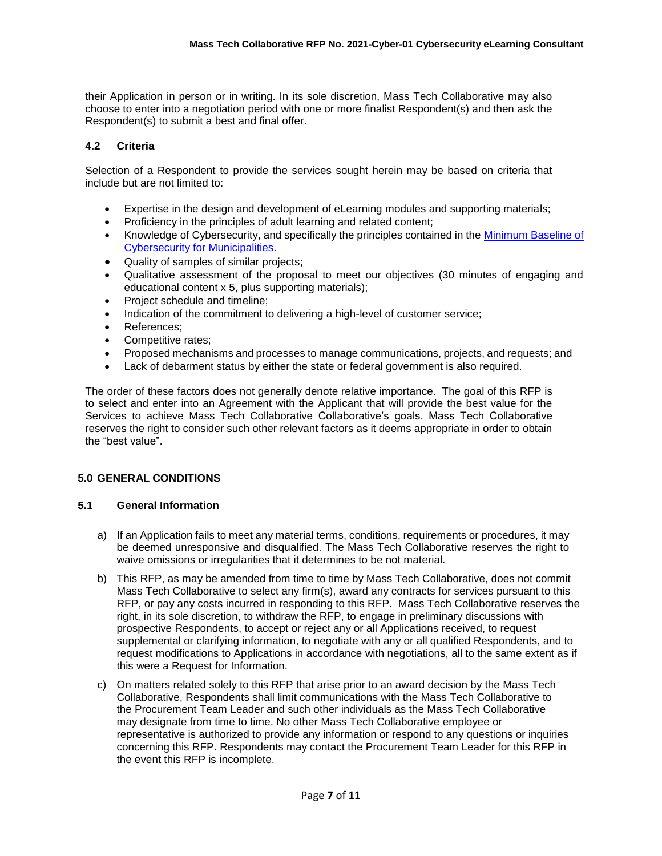their Application in person or in writing. In its sole discretion, Mass Tech Collaborative may also choose to enter into a negotiation period with one or more finalist Respondent(s) and then ask the Respondent(s) to submit a best and final offer.

# **4.2 Criteria**

Selection of a Respondent to provide the services sought herein may be based on criteria that include but are not limited to:

- Expertise in the design and development of eLearning modules and supporting materials;
- Proficiency in the principles of adult learning and related content;
- Knowledge of Cybersecurity, and specifically the principles contained in the Minimum Baseline of Cybersecurity for Municipalities.
- Quality of samples of similar projects;
- Qualitative assessment of the proposal to meet our objectives (30 minutes of engaging and educational content x 5, plus supporting materials);
- Project schedule and timeline;
- Indication of the commitment to delivering a high-level of customer service;
- References;
- Competitive rates;
- Proposed mechanisms and processes to manage communications, projects, and requests; and
- Lack of debarment status by either the state or federal government is also required.

The order of these factors does not generally denote relative importance. The goal of this RFP is to select and enter into an Agreement with the Applicant that will provide the best value for the Services to achieve Mass Tech Collaborative Collaborative's goals. Mass Tech Collaborative reserves the right to consider such other relevant factors as it deems appropriate in order to obtain the "best value".

## **5.0 GENERAL CONDITIONS**

## **5.1 General Information**

- a) If an Application fails to meet any material terms, conditions, requirements or procedures, it may be deemed unresponsive and disqualified. The Mass Tech Collaborative reserves the right to waive omissions or irregularities that it determines to be not material.
- b) This RFP, as may be amended from time to time by Mass Tech Collaborative, does not commit Mass Tech Collaborative to select any firm(s), award any contracts for services pursuant to this RFP, or pay any costs incurred in responding to this RFP. Mass Tech Collaborative reserves the right, in its sole discretion, to withdraw the RFP, to engage in preliminary discussions with prospective Respondents, to accept or reject any or all Applications received, to request supplemental or clarifying information, to negotiate with any or all qualified Respondents, and to request modifications to Applications in accordance with negotiations, all to the same extent as if this were a Request for Information.
- c) On matters related solely to this RFP that arise prior to an award decision by the Mass Tech Collaborative, Respondents shall limit communications with the Mass Tech Collaborative to the Procurement Team Leader and such other individuals as the Mass Tech Collaborative may designate from time to time. No other Mass Tech Collaborative employee or representative is authorized to provide any information or respond to any questions or inquiries concerning this RFP. Respondents may contact the Procurement Team Leader for this RFP in the event this RFP is incomplete.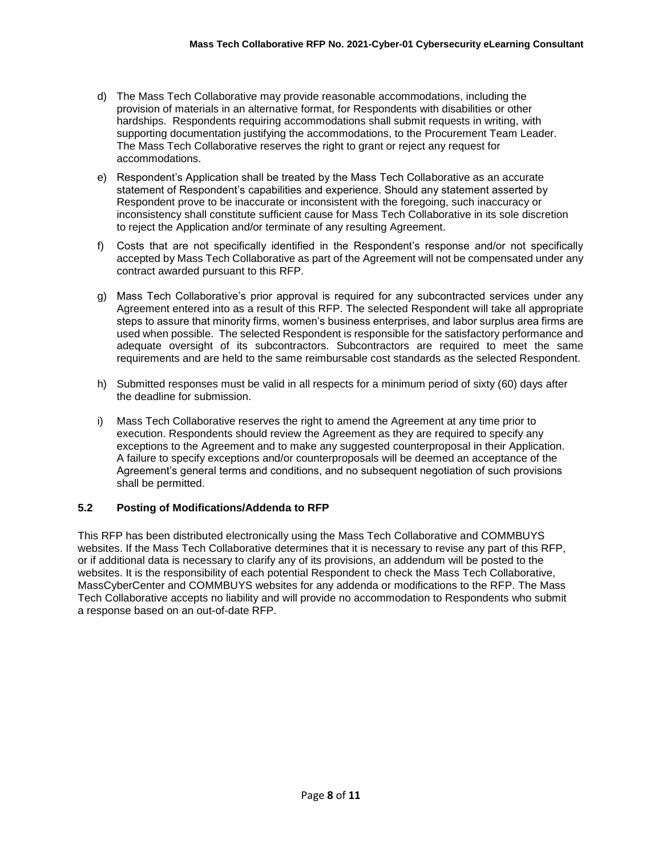- d) The Mass Tech Collaborative may provide reasonable accommodations, including the provision of materials in an alternative format, for Respondents with disabilities or other hardships. Respondents requiring accommodations shall submit requests in writing, with supporting documentation justifying the accommodations, to the Procurement Team Leader. The Mass Tech Collaborative reserves the right to grant or reject any request for accommodations.
- e) Respondent's Application shall be treated by the Mass Tech Collaborative as an accurate statement of Respondent's capabilities and experience. Should any statement asserted by Respondent prove to be inaccurate or inconsistent with the foregoing, such inaccuracy or inconsistency shall constitute sufficient cause for Mass Tech Collaborative in its sole discretion to reject the Application and/or terminate of any resulting Agreement.
- f) Costs that are not specifically identified in the Respondent's response and/or not specifically accepted by Mass Tech Collaborative as part of the Agreement will not be compensated under any contract awarded pursuant to this RFP.
- g) Mass Tech Collaborative's prior approval is required for any subcontracted services under any Agreement entered into as a result of this RFP. The selected Respondent will take all appropriate steps to assure that minority firms, women's business enterprises, and labor surplus area firms are used when possible. The selected Respondent is responsible for the satisfactory performance and adequate oversight of its subcontractors. Subcontractors are required to meet the same requirements and are held to the same reimbursable cost standards as the selected Respondent.
- h) Submitted responses must be valid in all respects for a minimum period of sixty (60) days after the deadline for submission.
- i) Mass Tech Collaborative reserves the right to amend the Agreement at any time prior to execution. Respondents should review the Agreement as they are required to specify any exceptions to the Agreement and to make any suggested counterproposal in their Application. A failure to specify exceptions and/or counterproposals will be deemed an acceptance of the Agreement's general terms and conditions, and no subsequent negotiation of such provisions shall be permitted.

## **5.2 Posting of Modifications/Addenda to RFP**

This RFP has been distributed electronically using the Mass Tech Collaborative and COMMBUYS websites. If the Mass Tech Collaborative determines that it is necessary to revise any part of this RFP, or if additional data is necessary to clarify any of its provisions, an addendum will be posted to the websites. It is the responsibility of each potential Respondent to check the Mass Tech Collaborative, MassCyberCenter and COMMBUYS websites for any addenda or modifications to the RFP. The Mass Tech Collaborative accepts no liability and will provide no accommodation to Respondents who submit a response based on an out-of-date RFP.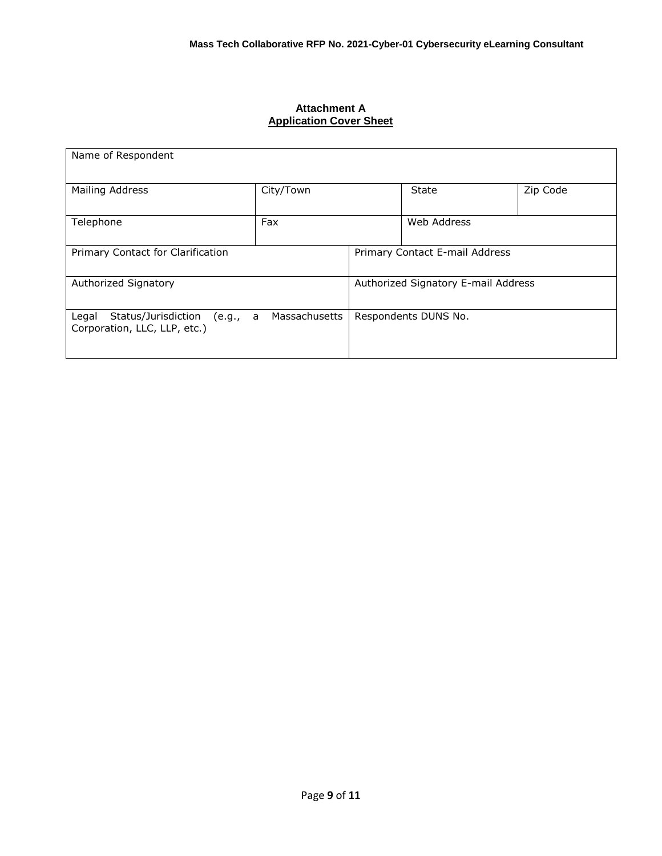#### **Attachment A Application Cover Sheet**

| Name of Respondent                                                                        |           |                                     |                      |          |  |
|-------------------------------------------------------------------------------------------|-----------|-------------------------------------|----------------------|----------|--|
| Mailing Address                                                                           | City/Town |                                     | State                | Zip Code |  |
| Telephone                                                                                 | Fax       |                                     | Web Address          |          |  |
| Primary Contact for Clarification                                                         |           | Primary Contact E-mail Address      |                      |          |  |
| Authorized Signatory                                                                      |           | Authorized Signatory E-mail Address |                      |          |  |
| Massachusetts<br>Status/Jurisdiction<br>Legal<br>(e.g., a<br>Corporation, LLC, LLP, etc.) |           |                                     | Respondents DUNS No. |          |  |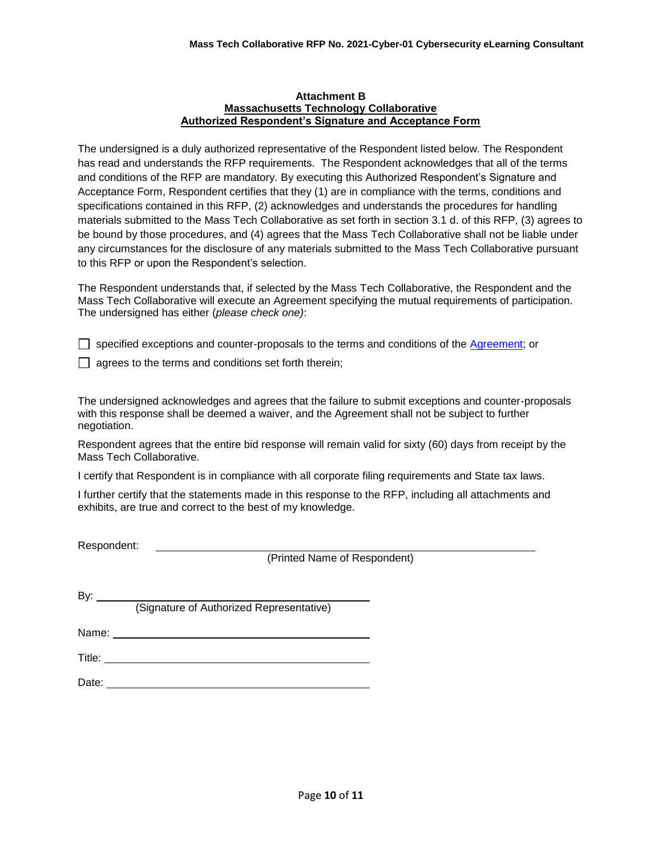#### **Attachment B Massachusetts Technology Collaborative Authorized Respondent's Signature and Acceptance Form**

The undersigned is a duly authorized representative of the Respondent listed below. The Respondent has read and understands the RFP requirements. The Respondent acknowledges that all of the terms and conditions of the RFP are mandatory. By executing this Authorized Respondent's Signature and Acceptance Form, Respondent certifies that they (1) are in compliance with the terms, conditions and specifications contained in this RFP, (2) acknowledges and understands the procedures for handling materials submitted to the Mass Tech Collaborative as set forth in section 3.1 d. of this RFP, (3) agrees to be bound by those procedures, and (4) agrees that the Mass Tech Collaborative shall not be liable under any circumstances for the disclosure of any materials submitted to the Mass Tech Collaborative pursuant to this RFP or upon the Respondent's selection.

The Respondent understands that, if selected by the Mass Tech Collaborative, the Respondent and the Mass Tech Collaborative will execute an Agreement specifying the mutual requirements of participation. The undersigned has either (*please check one)*:

 $\Box$  specified exceptions and counter-proposals to the terms and conditions of the [Agreement;](https://masstech.org/sites/mtc/files/documents/Legal/Services%20Agreement%20and%20SOW%20Final%20with%20watermark.pdf) or

 $\Box$  agrees to the terms and conditions set forth therein;

The undersigned acknowledges and agrees that the failure to submit exceptions and counter-proposals with this response shall be deemed a waiver, and the Agreement shall not be subject to further negotiation.

Respondent agrees that the entire bid response will remain valid for sixty (60) days from receipt by the Mass Tech Collaborative.

I certify that Respondent is in compliance with all corporate filing requirements and State tax laws.

I further certify that the statements made in this response to the RFP, including all attachments and exhibits, are true and correct to the best of my knowledge.

Respondent:

(Printed Name of Respondent)

By:

(Signature of Authorized Representative)

Name: <u>2000 - 2000 - 2000 - 2000 - 2000 - 2000 - 2000 - 2000 - 2000 - 2000 - 2000 - 2000 - 2000 - 2000 - 2000 - 2000 - 2000 - 2000 - 2000 - 2000 - 2000 - 2000 - 2000 - 2000 - 2000 - 2000 - 2000 - 2000 - 2000 - 2000 - 2000 </u>

Title: **The Community of the Community of the Community of the Community of the Community of the Community of the Community of the Community of the Community of the Community of the Community of the Community of the Commun** 

Date: **Date: Date: Date: Date: Date: Date: Date: Date: Date: Date: Date: Date: Date: Date: Date: Date: Date: Date: Date: Date: Date: Date: Date: Date: Date: Date: Date:**